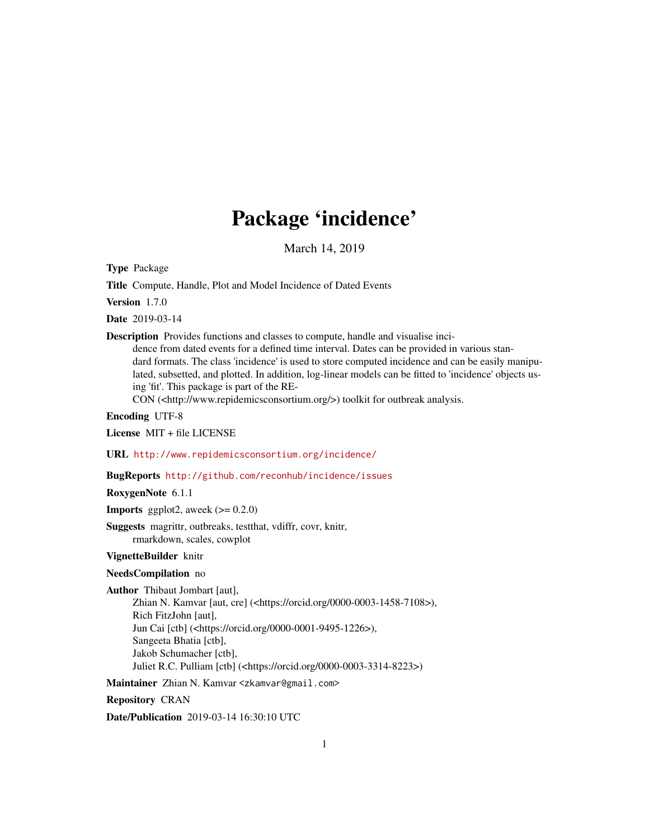## Package 'incidence'

March 14, 2019

<span id="page-0-0"></span>Type Package

Title Compute, Handle, Plot and Model Incidence of Dated Events

Version 1.7.0

Date 2019-03-14

Description Provides functions and classes to compute, handle and visualise inci-

dence from dated events for a defined time interval. Dates can be provided in various standard formats. The class 'incidence' is used to store computed incidence and can be easily manipulated, subsetted, and plotted. In addition, log-linear models can be fitted to 'incidence' objects using 'fit'. This package is part of the RE-

CON (<http://www.repidemicsconsortium.org/>) toolkit for outbreak analysis.

Encoding UTF-8

License MIT + file LICENSE

URL <http://www.repidemicsconsortium.org/incidence/>

BugReports <http://github.com/reconhub/incidence/issues>

RoxygenNote 6.1.1

**Imports** ggplot2, aweek  $(>= 0.2.0)$ 

Suggests magrittr, outbreaks, testthat, vdiffr, covr, knitr, rmarkdown, scales, cowplot

#### VignetteBuilder knitr

#### NeedsCompilation no

Author Thibaut Jombart [aut],

Zhian N. Kamvar [aut, cre] (<https://orcid.org/0000-0003-1458-7108>), Rich FitzJohn [aut], Jun Cai [ctb] (<https://orcid.org/0000-0001-9495-1226>), Sangeeta Bhatia [ctb], Jakob Schumacher [ctb], Juliet R.C. Pulliam [ctb] (<https://orcid.org/0000-0003-3314-8223>)

Maintainer Zhian N. Kamvar <zkamvar@gmail.com>

Repository CRAN

Date/Publication 2019-03-14 16:30:10 UTC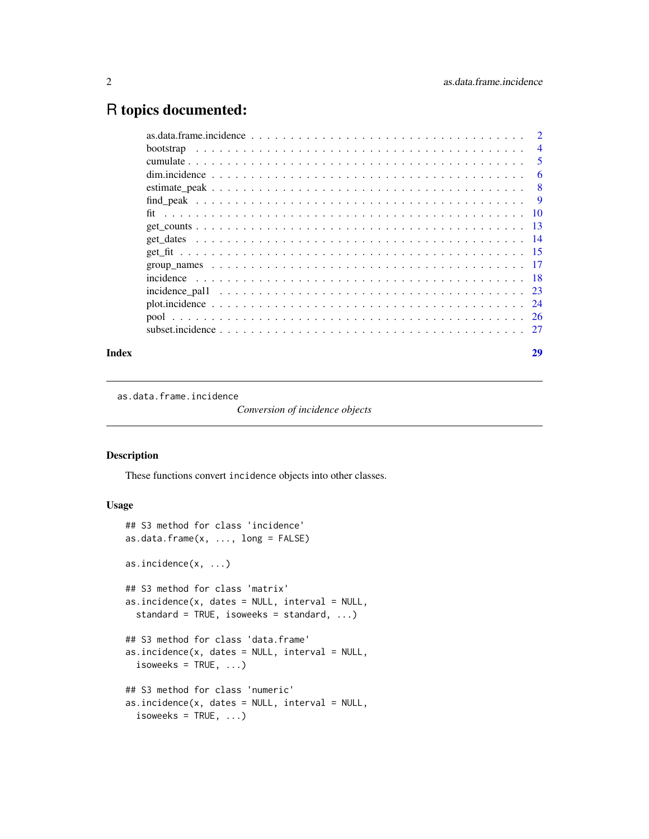## <span id="page-1-0"></span>R topics documented:

|                                                                                                                                                                         | $\overline{4}$ |
|-------------------------------------------------------------------------------------------------------------------------------------------------------------------------|----------------|
|                                                                                                                                                                         | 5              |
|                                                                                                                                                                         | 6              |
|                                                                                                                                                                         | - 8            |
|                                                                                                                                                                         | 9              |
|                                                                                                                                                                         |                |
|                                                                                                                                                                         |                |
|                                                                                                                                                                         |                |
|                                                                                                                                                                         |                |
|                                                                                                                                                                         |                |
|                                                                                                                                                                         |                |
|                                                                                                                                                                         |                |
|                                                                                                                                                                         |                |
|                                                                                                                                                                         |                |
| subset incidence $\ldots$ $\ldots$ $\ldots$ $\ldots$ $\ldots$ $\ldots$ $\ldots$ $\ldots$ $\ldots$ $\ldots$ $\ldots$ $\ldots$ $\ldots$ $\ldots$ $\ldots$ $\frac{27}{27}$ |                |
|                                                                                                                                                                         |                |

#### **Index** [29](#page-28-0)

as.data.frame.incidence

*Conversion of incidence objects*

## Description

These functions convert incidence objects into other classes.

#### Usage

```
## S3 method for class 'incidence'
as.data.frame(x, \ldots, \text{long} = \text{FALSE})as.incidence(x, ...)
## S3 method for class 'matrix'
as.incidence(x, dates = NULL, interval = NULL,standard = TRUE, isoweeks = standard, ...)
## S3 method for class 'data.frame'
as.incidence(x, dates = NULL, interval = NULL,
  isoweeks = TRUE, ...## S3 method for class 'numeric'
as.incidence(x, dates = NULL, interval = NULL,
  isoweeks = TRUE, ...
```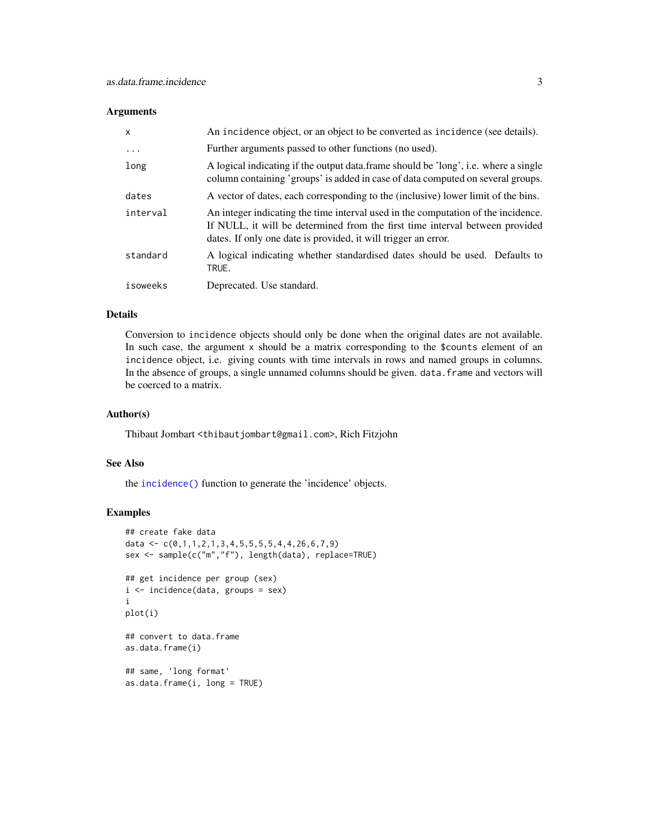#### <span id="page-2-0"></span>Arguments

| $\mathsf{x}$ | An incidence object, or an object to be converted as incidence (see details).                                                                                                                                                       |
|--------------|-------------------------------------------------------------------------------------------------------------------------------------------------------------------------------------------------------------------------------------|
| .            | Further arguments passed to other functions (no used).                                                                                                                                                                              |
| long         | A logical indicating if the output data frame should be 'long', i.e. where a single<br>column containing 'groups' is added in case of data computed on several groups.                                                              |
| dates        | A vector of dates, each corresponding to the (inclusive) lower limit of the bins.                                                                                                                                                   |
| interval     | An integer indicating the time interval used in the computation of the incidence.<br>If NULL, it will be determined from the first time interval between provided<br>dates. If only one date is provided, it will trigger an error. |
| standard     | A logical indicating whether standardised dates should be used. Defaults to<br>TRUE.                                                                                                                                                |
| isoweeks     | Deprecated. Use standard.                                                                                                                                                                                                           |

#### Details

Conversion to incidence objects should only be done when the original dates are not available. In such case, the argument x should be a matrix corresponding to the \$counts element of an incidence object, i.e. giving counts with time intervals in rows and named groups in columns. In the absence of groups, a single unnamed columns should be given. data. frame and vectors will be coerced to a matrix.

## Author(s)

Thibaut Jombart <thibautjombart@gmail.com>, Rich Fitzjohn

### See Also

the [incidence\(\)](#page-17-1) function to generate the 'incidence' objects.

```
## create fake data
data <- c(0,1,1,2,1,3,4,5,5,5,5,4,4,26,6,7,9)
sex <- sample(c("m","f"), length(data), replace=TRUE)
## get incidence per group (sex)
i <- incidence(data, groups = sex)
i
plot(i)
## convert to data.frame
as.data.frame(i)
## same, 'long format'
as.data.frame(i, long = TRUE)
```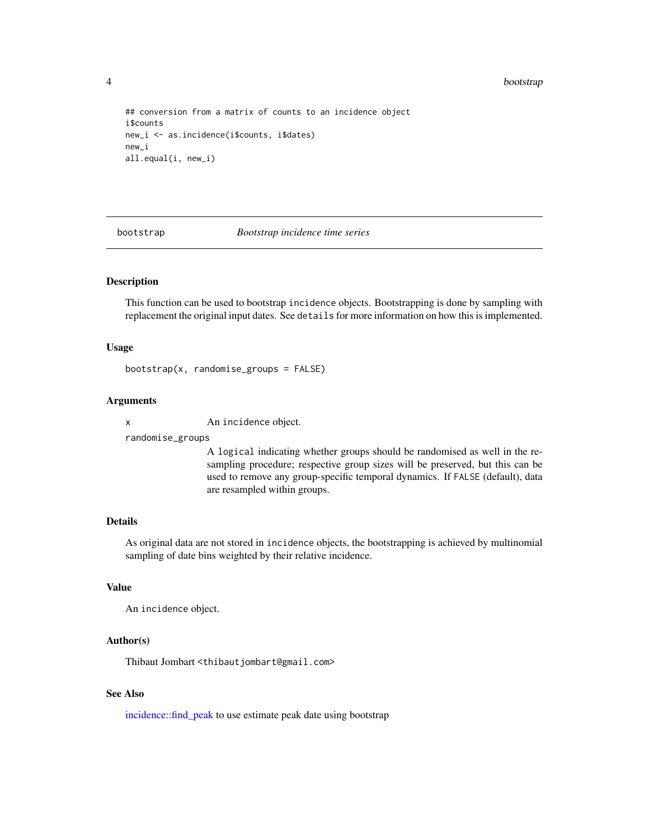<span id="page-3-0"></span>4 bootstrap

```
## conversion from a matrix of counts to an incidence object
i$counts
new_i <- as.incidence(i$counts, i$dates)
new_i
all.equal(i, new_i)
```
bootstrap *Bootstrap incidence time series*

#### Description

This function can be used to bootstrap incidence objects. Bootstrapping is done by sampling with replacement the original input dates. See details for more information on how this is implemented.

#### Usage

bootstrap(x, randomise\_groups = FALSE)

## Arguments

x An incidence object.

randomise\_groups

A logical indicating whether groups should be randomised as well in the resampling procedure; respective group sizes will be preserved, but this can be used to remove any group-specific temporal dynamics. If FALSE (default), data are resampled within groups.

## Details

As original data are not stored in incidence objects, the bootstrapping is achieved by multinomial sampling of date bins weighted by their relative incidence.

#### Value

An incidence object.

## Author(s)

Thibaut Jombart <thibautjombart@gmail.com>

## See Also

[incidence::find\\_peak](#page-0-0) to use estimate peak date using bootstrap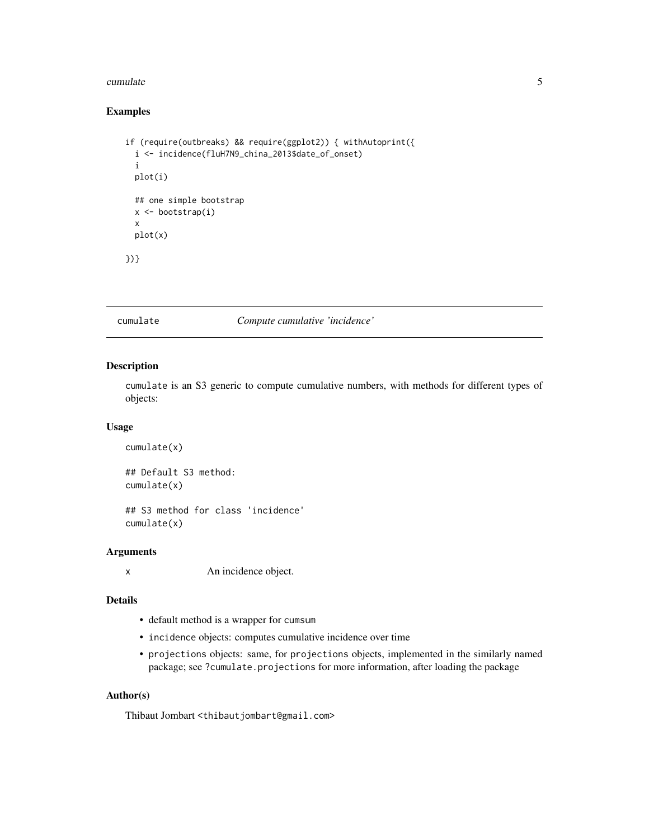#### <span id="page-4-0"></span>cumulate 5 and 5 and 5 and 5 and 5 and 5 and 5 and 5 and 5 and 5 and 5 and 5 and 5 and 5 and 5 and 5 and 5 and 5 and 5 and 5 and 5 and 5 and 5 and 5 and 5 and 5 and 5 and 5 and 5 and 5 and 5 and 5 and 5 and 5 and 5 and 5 a

## Examples

```
if (require(outbreaks) && require(ggplot2)) { withAutoprint({
 i <- incidence(fluH7N9_china_2013$date_of_onset)
 i
 plot(i)
 ## one simple bootstrap
 x <- bootstrap(i)
 x
 plot(x)
})}
```
#### cumulate *Compute cumulative 'incidence'*

## Description

cumulate is an S3 generic to compute cumulative numbers, with methods for different types of objects:

#### Usage

```
cumulate(x)
## Default S3 method:
cumulate(x)
## S3 method for class 'incidence'
```
cumulate(x)

#### Arguments

x An incidence object.

## Details

- default method is a wrapper for cumsum
- incidence objects: computes cumulative incidence over time
- projections objects: same, for projections objects, implemented in the similarly named package; see ?cumulate.projections for more information, after loading the package

#### Author(s)

Thibaut Jombart <thibautjombart@gmail.com>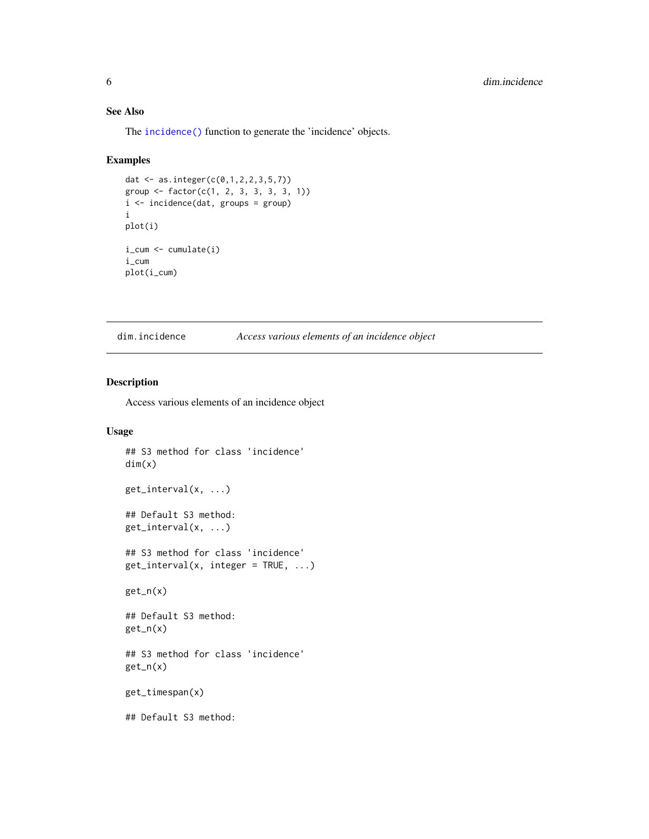## <span id="page-5-0"></span>See Also

The [incidence\(\)](#page-17-1) function to generate the 'incidence' objects.

## Examples

```
dat <- as.integer(c(0,1,2,2,3,5,7))
group <- factor(c(1, 2, 3, 3, 3, 3, 1))
i <- incidence(dat, groups = group)
i
plot(i)
i_cum <- cumulate(i)
i_cum
plot(i_cum)
```
dim.incidence *Access various elements of an incidence object*

## Description

Access various elements of an incidence object

## Usage

```
## S3 method for class 'incidence'
dim(x)
get_interval(x, ...)
## Default S3 method:
get_interval(x, ...)
## S3 method for class 'incidence'
get\_interval(x, integer = TRUE, ...)get_n(x)
## Default S3 method:
get_n(x)
## S3 method for class 'incidence'
get_n(x)
get_timespan(x)
## Default S3 method:
```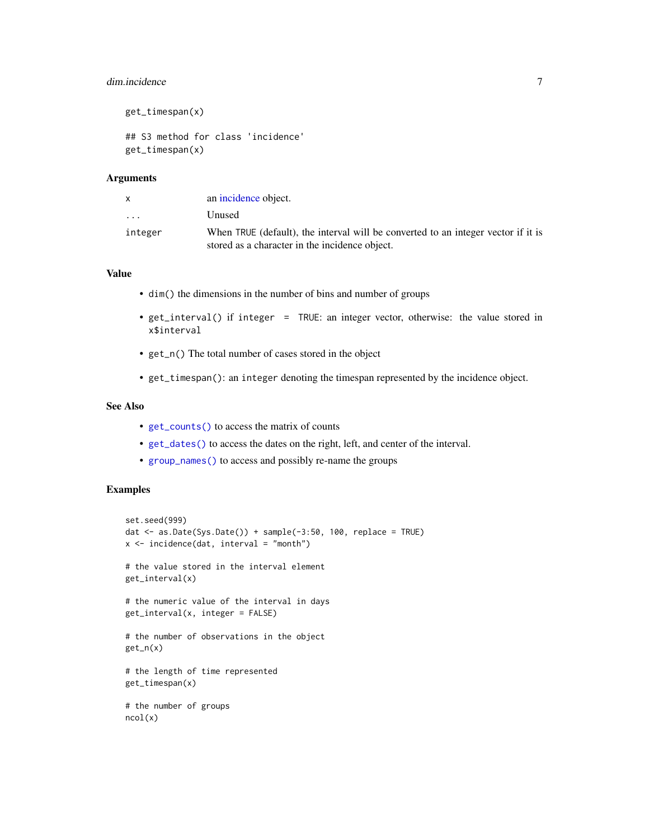## <span id="page-6-0"></span>dim.incidence 7

```
get_timespan(x)
## S3 method for class 'incidence'
get_timespan(x)
```
#### **Arguments**

| X         | an incidence object.                                                              |
|-----------|-----------------------------------------------------------------------------------|
| $\cdot$ . | Unused                                                                            |
| integer   | When TRUE (default), the interval will be converted to an integer vector if it is |
|           | stored as a character in the incidence object.                                    |

## Value

- dim() the dimensions in the number of bins and number of groups
- get\_interval() if integer = TRUE: an integer vector, otherwise: the value stored in x\$interval
- get\_n() The total number of cases stored in the object
- get\_timespan(): an integer denoting the timespan represented by the incidence object.

#### See Also

- [get\\_counts\(\)](#page-12-1) to access the matrix of counts
- [get\\_dates\(\)](#page-13-1) to access the dates on the right, left, and center of the interval.
- [group\\_names\(\)](#page-16-1) to access and possibly re-name the groups

```
set.seed(999)
dat \leq as.Date(Sys.Date()) + sample(-3:50, 100, replace = TRUE)
x \le incidence(dat, interval = "month")
# the value stored in the interval element
get_interval(x)
# the numeric value of the interval in days
get_interval(x, integer = FALSE)
# the number of observations in the object
get_n(x)
# the length of time represented
get_timespan(x)
# the number of groups
ncol(x)
```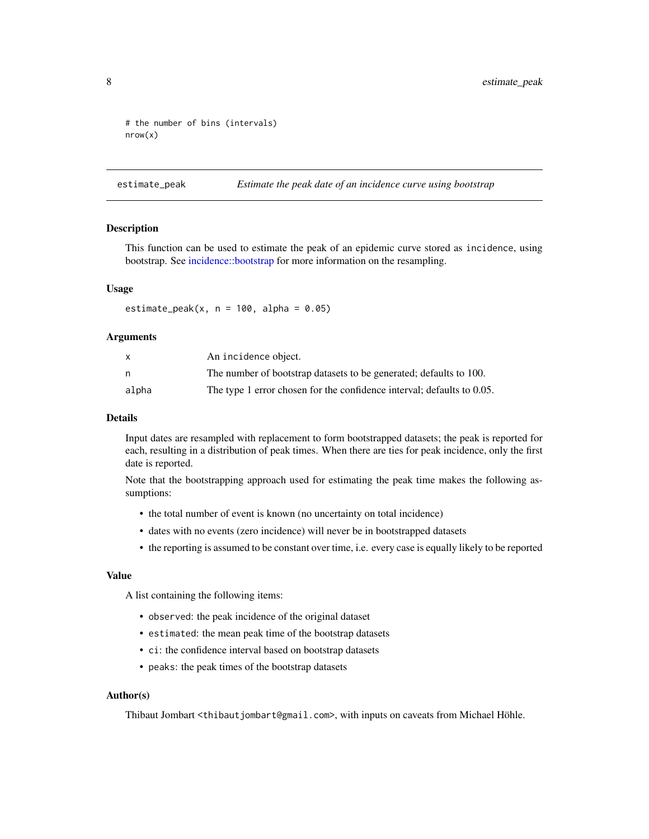```
# the number of bins (intervals)
nrow(x)
```
<span id="page-7-1"></span>estimate\_peak *Estimate the peak date of an incidence curve using bootstrap*

#### Description

This function can be used to estimate the peak of an epidemic curve stored as incidence, using bootstrap. See [incidence::bootstrap](#page-0-0) for more information on the resampling.

## Usage

estimate\_peak(x,  $n = 100$ , alpha = 0.05)

#### Arguments

|       | An incidence object.                                                   |
|-------|------------------------------------------------------------------------|
|       | The number of bootstrap datasets to be generated; defaults to 100.     |
| alpha | The type 1 error chosen for the confidence interval; defaults to 0.05. |

#### Details

Input dates are resampled with replacement to form bootstrapped datasets; the peak is reported for each, resulting in a distribution of peak times. When there are ties for peak incidence, only the first date is reported.

Note that the bootstrapping approach used for estimating the peak time makes the following assumptions:

- the total number of event is known (no uncertainty on total incidence)
- dates with no events (zero incidence) will never be in bootstrapped datasets
- the reporting is assumed to be constant over time, i.e. every case is equally likely to be reported

#### Value

A list containing the following items:

- observed: the peak incidence of the original dataset
- estimated: the mean peak time of the bootstrap datasets
- ci: the confidence interval based on bootstrap datasets
- peaks: the peak times of the bootstrap datasets

#### Author(s)

Thibaut Jombart <thibautjombart@gmail.com>, with inputs on caveats from Michael Höhle.

<span id="page-7-0"></span>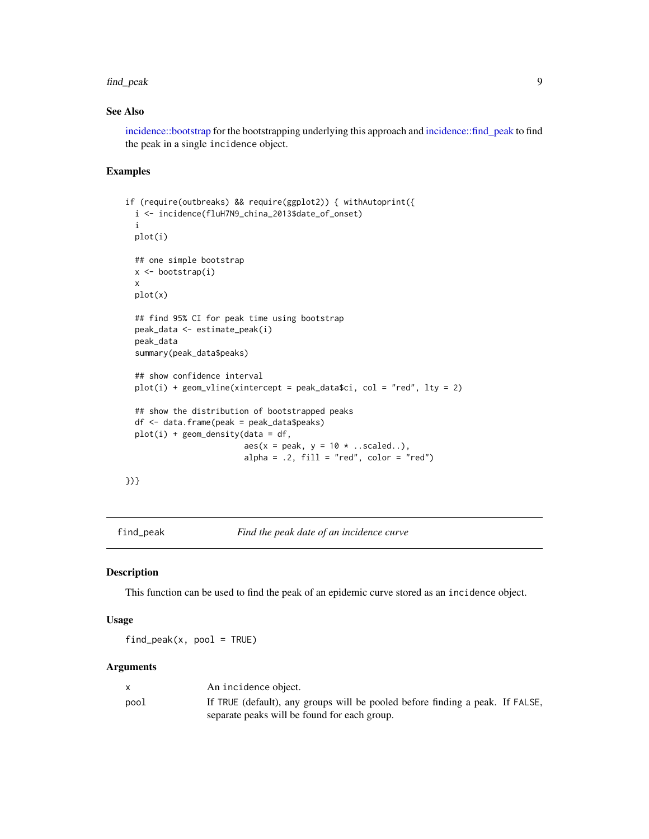#### <span id="page-8-0"></span>find\_peak 9

## See Also

[incidence::bootstrap](#page-0-0) for the bootstrapping underlying this approach and [incidence::find\\_peak](#page-0-0) to find the peak in a single incidence object.

#### Examples

```
if (require(outbreaks) && require(ggplot2)) { withAutoprint({
 i <- incidence(fluH7N9_china_2013$date_of_onset)
 i
 plot(i)
 ## one simple bootstrap
 x <- bootstrap(i)
 x
 plot(x)
 ## find 95% CI for peak time using bootstrap
 peak_data <- estimate_peak(i)
 peak_data
 summary(peak_data$peaks)
 ## show confidence interval
 plot(i) + geom\_vline(xintercept = peak_data$ci, col = "red", lty = 2)
 ## show the distribution of bootstrapped peaks
 df <- data.frame(peak = peak_data$peaks)
 plot(i) + geom\_density(data = df,aes(x = peak, y = 10 * . . scaled..),alpha = .2, fill = "red", color = "red")
```
})}

find\_peak *Find the peak date of an incidence curve*

#### Description

This function can be used to find the peak of an epidemic curve stored as an incidence object.

#### Usage

 $find\_peak(x, pool = TRUE)$ 

#### Arguments

|      | An incidence object.                                                          |
|------|-------------------------------------------------------------------------------|
| pool | If TRUE (default), any groups will be pooled before finding a peak. If FALSE, |
|      | separate peaks will be found for each group.                                  |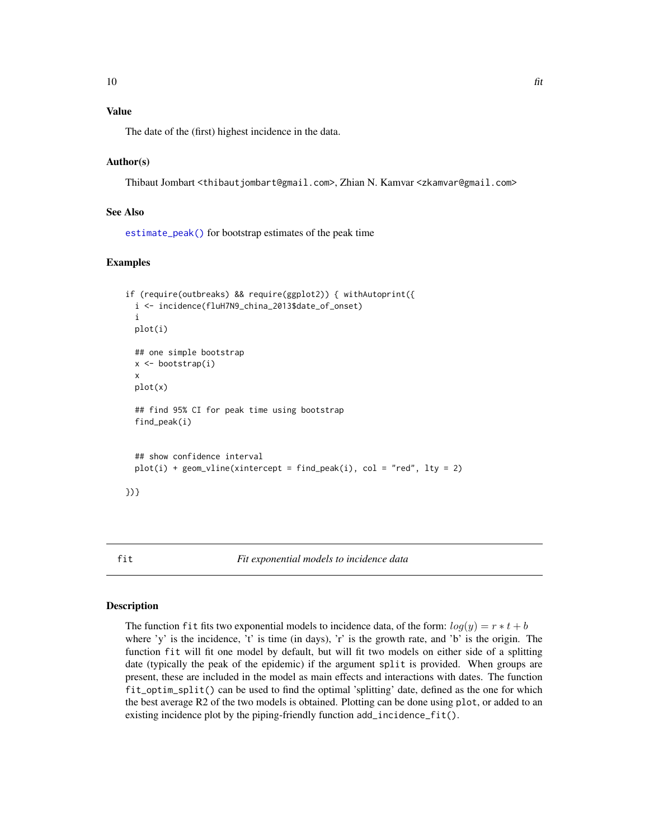## <span id="page-9-0"></span>Value

The date of the (first) highest incidence in the data.

#### Author(s)

Thibaut Jombart <thibautjombart@gmail.com>, Zhian N. Kamvar <zkamvar@gmail.com>

#### See Also

[estimate\\_peak\(\)](#page-7-1) for bootstrap estimates of the peak time

## Examples

```
if (require(outbreaks) && require(ggplot2)) { withAutoprint({
 i <- incidence(fluH7N9_china_2013$date_of_onset)
 i
 plot(i)
 ## one simple bootstrap
 x \leftarrow bootstrap(i)
 x
 plot(x)
 ## find 95% CI for peak time using bootstrap
 find_peak(i)
 ## show confidence interval
 plot(i) + geom\_vline(xintercept = find\_peak(i), col = "red", lty = 2)})}
```
#### <span id="page-9-1"></span>fit *Fit exponential models to incidence data*

#### Description

The function fit fits two exponential models to incidence data, of the form:  $log(y) = r * t + b$ where 'y' is the incidence, 't' is time (in days), 'r' is the growth rate, and 'b' is the origin. The function fit will fit one model by default, but will fit two models on either side of a splitting date (typically the peak of the epidemic) if the argument split is provided. When groups are present, these are included in the model as main effects and interactions with dates. The function fit\_optim\_split() can be used to find the optimal 'splitting' date, defined as the one for which the best average R2 of the two models is obtained. Plotting can be done using plot, or added to an existing incidence plot by the piping-friendly function add\_incidence\_fit().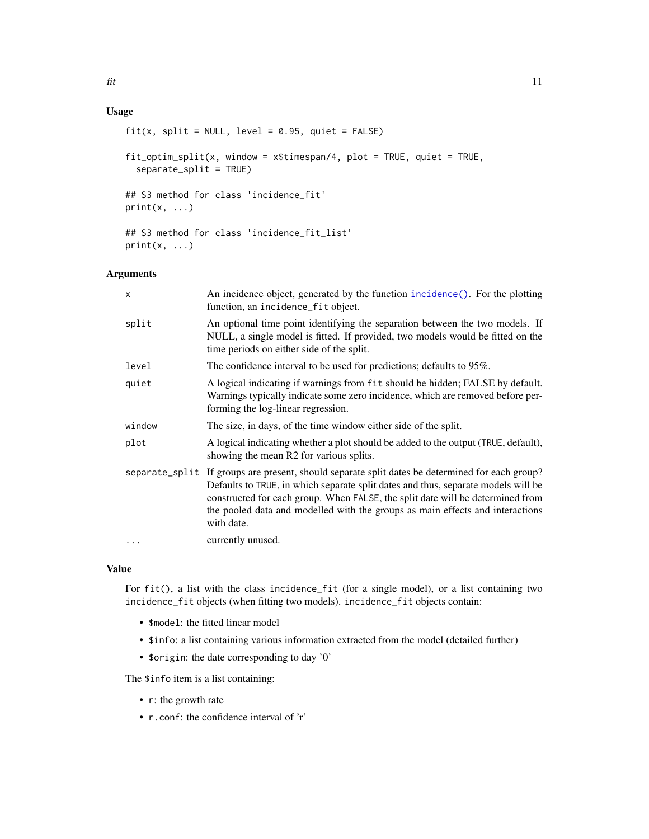## <span id="page-10-0"></span>Usage

```
fit(x, split = NULL, level = 0.95, quiet = FALSE)fit_optim_split(x, window = x$timespan/4, plot = TRUE, quiet = TRUE,
  separate_split = TRUE)
## S3 method for class 'incidence_fit'
print(x, \ldots)## S3 method for class 'incidence_fit_list'
print(x, \ldots)
```
## Arguments

| X        | An incidence object, generated by the function incidence(). For the plotting<br>function, an incidence_fit object.                                                                                                                                                                                                                                                    |
|----------|-----------------------------------------------------------------------------------------------------------------------------------------------------------------------------------------------------------------------------------------------------------------------------------------------------------------------------------------------------------------------|
| split    | An optional time point identifying the separation between the two models. If<br>NULL, a single model is fitted. If provided, two models would be fitted on the<br>time periods on either side of the split.                                                                                                                                                           |
| level    | The confidence interval to be used for predictions; defaults to 95%.                                                                                                                                                                                                                                                                                                  |
| quiet    | A logical indicating if warnings from fit should be hidden; FALSE by default.<br>Warnings typically indicate some zero incidence, which are removed before per-<br>forming the log-linear regression.                                                                                                                                                                 |
| window   | The size, in days, of the time window either side of the split.                                                                                                                                                                                                                                                                                                       |
| plot     | A logical indicating whether a plot should be added to the output (TRUE, default),<br>showing the mean R2 for various splits.                                                                                                                                                                                                                                         |
|          | separate_split If groups are present, should separate split dates be determined for each group?<br>Defaults to TRUE, in which separate split dates and thus, separate models will be<br>constructed for each group. When FALSE, the split date will be determined from<br>the pooled data and modelled with the groups as main effects and interactions<br>with date. |
| $\ddots$ | currently unused.                                                                                                                                                                                                                                                                                                                                                     |

### Value

For fit(), a list with the class incidence\_fit (for a single model), or a list containing two incidence\_fit objects (when fitting two models). incidence\_fit objects contain:

- \$model: the fitted linear model
- \$info: a list containing various information extracted from the model (detailed further)
- \$origin: the date corresponding to day '0'

The \$info item is a list containing:

- r: the growth rate
- r.conf: the confidence interval of 'r'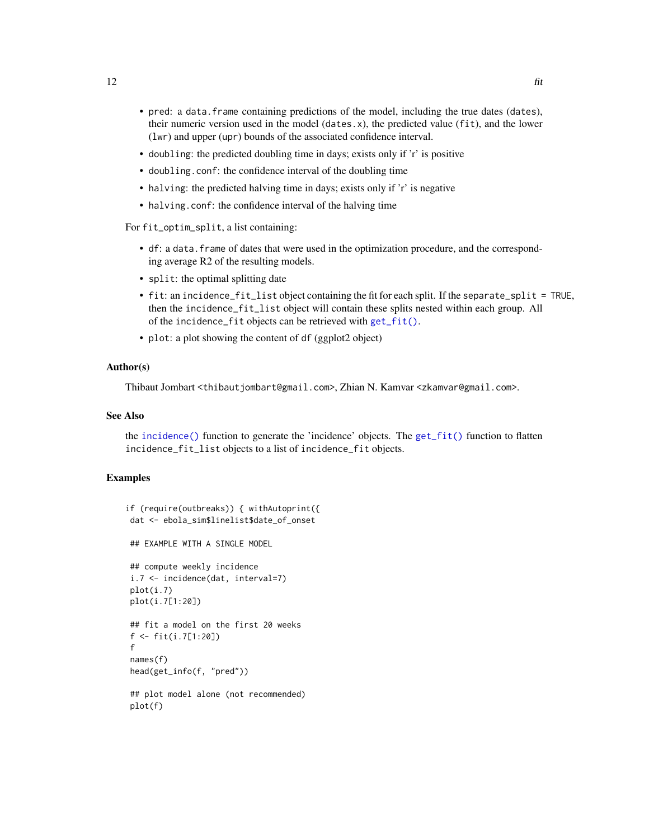- <span id="page-11-0"></span>• pred: a data.frame containing predictions of the model, including the true dates (dates), their numeric version used in the model (dates.x), the predicted value (fit), and the lower (lwr) and upper (upr) bounds of the associated confidence interval.
- doubling: the predicted doubling time in days; exists only if 'r' is positive
- doubling.conf: the confidence interval of the doubling time
- halving: the predicted halving time in days; exists only if 'r' is negative
- halving.conf: the confidence interval of the halving time

For fit\_optim\_split, a list containing:

- df: a data.frame of dates that were used in the optimization procedure, and the corresponding average R2 of the resulting models.
- split: the optimal splitting date
- fit: an incidence\_fit\_list object containing the fit for each split. If the separate\_split = TRUE, then the incidence\_fit\_list object will contain these splits nested within each group. All of the incidence\_fit objects can be retrieved with [get\\_fit\(\)](#page-14-1).
- plot: a plot showing the content of df (ggplot2 object)

## Author(s)

Thibaut Jombart <thibautjombart@gmail.com>, Zhian N. Kamvar <zkamvar@gmail.com>.

#### See Also

the [incidence\(\)](#page-17-1) function to generate the 'incidence' objects. The [get\\_fit\(\)](#page-14-1) function to flatten incidence\_fit\_list objects to a list of incidence\_fit objects.

```
if (require(outbreaks)) { withAutoprint({
dat <- ebola_sim$linelist$date_of_onset
## EXAMPLE WITH A SINGLE MODEL
## compute weekly incidence
i.7 <- incidence(dat, interval=7)
plot(i.7)
plot(i.7[1:20])
## fit a model on the first 20 weeks
f <- fit(i.7[1:20])
f
names(f)
head(get_info(f, "pred"))
## plot model alone (not recommended)
plot(f)
```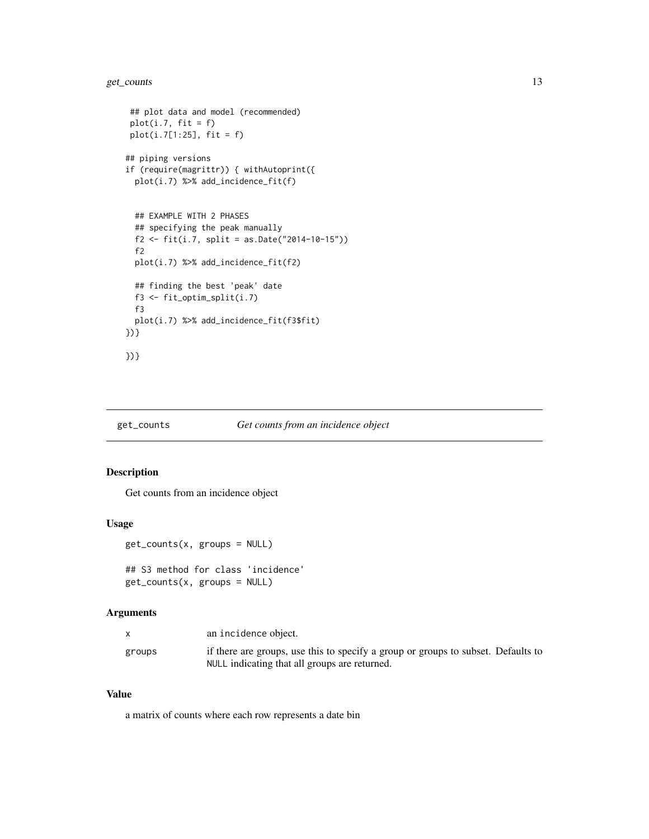## <span id="page-12-0"></span>get\_counts 13

```
## plot data and model (recommended)
 plot(i.7, fit = f)plot(i.7[1:25], fit = f)
## piping versions
if (require(magrittr)) { withAutoprint({
  plot(i.7) %>% add_incidence_fit(f)
  ## EXAMPLE WITH 2 PHASES
  ## specifying the peak manually
  f2 <- fit(i.7, split = as.Date("2014-10-15"))
  f2
  plot(i.7) %>% add_incidence_fit(f2)
  ## finding the best 'peak' date
  f3 <- fit_optim_split(i.7)
  f3
  plot(i.7) %>% add_incidence_fit(f3$fit)
})}
})}
```
## <span id="page-12-1"></span>get\_counts *Get counts from an incidence object*

## Description

Get counts from an incidence object

#### Usage

```
get_counts(x, groups = NULL)
```

```
## S3 method for class 'incidence'
get_counts(x, groups = NULL)
```
## Arguments

|        | an incidence object.                                                              |
|--------|-----------------------------------------------------------------------------------|
| groups | if there are groups, use this to specify a group or groups to subset. Defaults to |
|        | NULL indicating that all groups are returned.                                     |

## Value

a matrix of counts where each row represents a date bin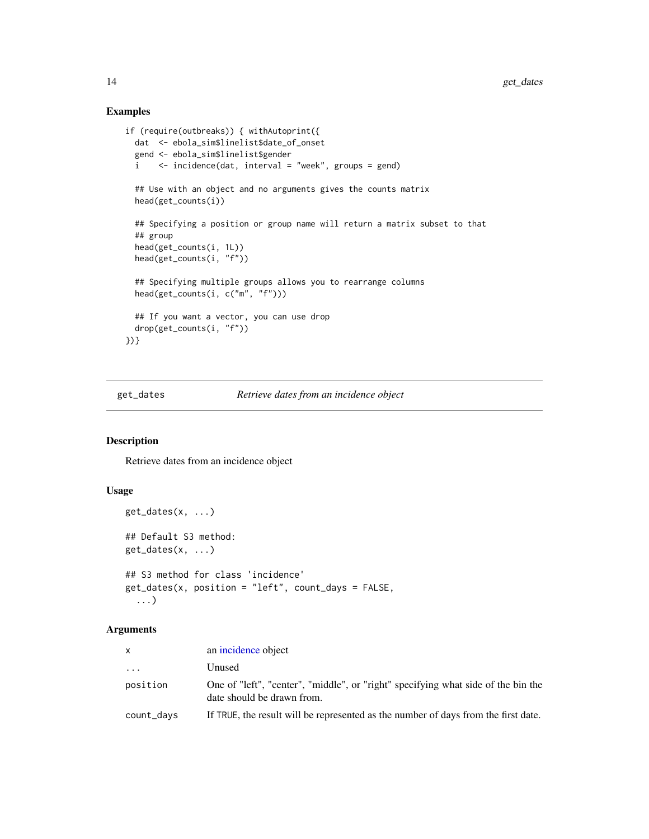## Examples

```
if (require(outbreaks)) { withAutoprint({
 dat <- ebola_sim$linelist$date_of_onset
 gend <- ebola_sim$linelist$gender
 i <- incidence(dat, interval = "week", groups = gend)
 ## Use with an object and no arguments gives the counts matrix
 head(get_counts(i))
 ## Specifying a position or group name will return a matrix subset to that
 ## group
 head(get_counts(i, 1L))
 head(get_counts(i, "f"))
 ## Specifying multiple groups allows you to rearrange columns
 head(get_counts(i, c("m", "f")))
 ## If you want a vector, you can use drop
 drop(get_counts(i, "f"))
})}
```
<span id="page-13-1"></span>get\_dates *Retrieve dates from an incidence object*

#### Description

Retrieve dates from an incidence object

## Usage

```
get_dates(x, ...)
## Default S3 method:
get_dates(x, ...)
## S3 method for class 'incidence'
get_dates(x, position = "left", count_days = FALSE,
  ...)
```
## Arguments

| Unused<br>$\cdots$                                                                                                          |  |
|-----------------------------------------------------------------------------------------------------------------------------|--|
| position<br>One of "left", "center", "middle", or "right" specifying what side of the bin the<br>date should be drawn from. |  |
| If TRUE, the result will be represented as the number of days from the first date.<br>count_days                            |  |

<span id="page-13-0"></span>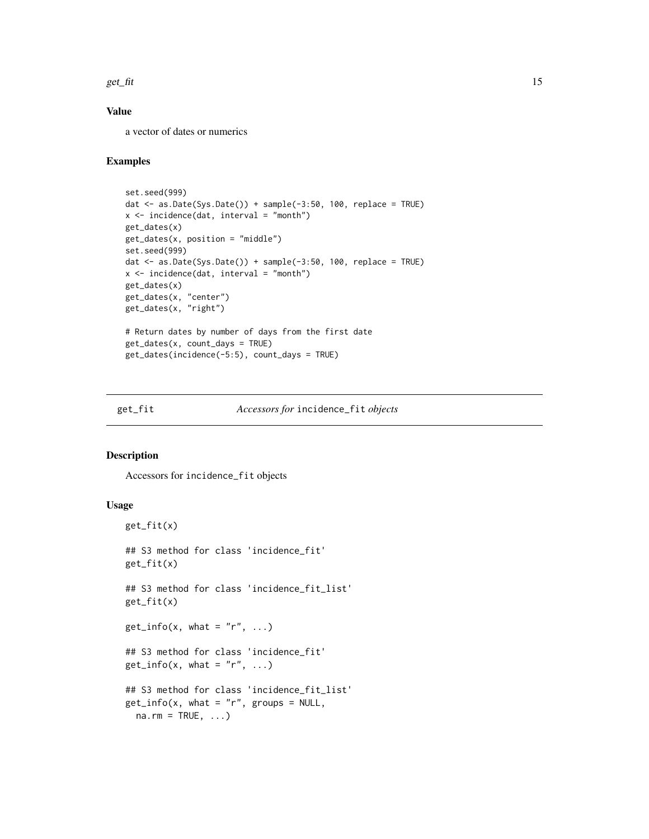<span id="page-14-0"></span>get\_fit  $\qquad \qquad$  15

## Value

a vector of dates or numerics

## Examples

```
set.seed(999)
dat <- as.Date(Sys.Date()) + sample(-3:50, 100, replace = TRUE)
x <- incidence(dat, interval = "month")
get_dates(x)
get_dates(x, position = "middle")
set.seed(999)
dat <- as.Date(Sys.Date()) + sample(-3:50, 100, replace = TRUE)
x \le incidence(dat, interval = "month")
get_dates(x)
get_dates(x, "center")
get_dates(x, "right")
# Return dates by number of days from the first date
get_dates(x, count_days = TRUE)
get_dates(incidence(-5:5), count_days = TRUE)
```
#### <span id="page-14-1"></span>get\_fit *Accessors for* incidence\_fit *objects*

## Description

Accessors for incidence\_fit objects

#### Usage

```
get_fit(x)
## S3 method for class 'incidence_fit'
get_fit(x)
## S3 method for class 'incidence_fit_list'
get_fit(x)
get_info(x, what = "r", ...)## S3 method for class 'incidence_fit'
get_info(x, what = "r", ...)## S3 method for class 'incidence_fit_list'
get_info(x, what = "r", groups = NULL,na.rm = TRUE, ...)
```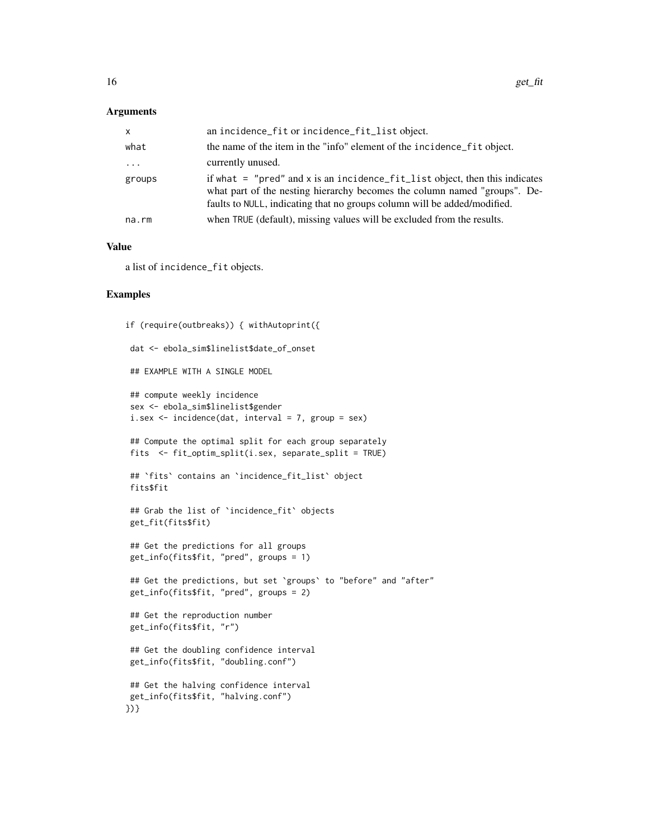#### Arguments

| $\mathsf{x}$        | an incidence_fit or incidence_fit_list object.                                                                                                                                                                                           |
|---------------------|------------------------------------------------------------------------------------------------------------------------------------------------------------------------------------------------------------------------------------------|
| what                | the name of the item in the "info" element of the incidence fit object.                                                                                                                                                                  |
| $\cdot \cdot \cdot$ | currently unused.                                                                                                                                                                                                                        |
| groups              | if what $=$ "pred" and x is an incidence $fit$ list object, then this indicates<br>what part of the nesting hierarchy becomes the column named "groups". De-<br>faults to NULL, indicating that no groups column will be added/modified. |
| na.rm               | when TRUE (default), missing values will be excluded from the results.                                                                                                                                                                   |

#### Value

a list of incidence\_fit objects.

```
if (require(outbreaks)) { withAutoprint({
dat <- ebola_sim$linelist$date_of_onset
## EXAMPLE WITH A SINGLE MODEL
## compute weekly incidence
sex <- ebola_sim$linelist$gender
i.sex <- incidence(dat, interval = 7, group = sex)
## Compute the optimal split for each group separately
fits <- fit_optim_split(i.sex, separate_split = TRUE)
## `fits` contains an `incidence_fit_list` object
fits$fit
## Grab the list of `incidence_fit` objects
get_fit(fits$fit)
## Get the predictions for all groups
get_info(fits$fit, "pred", groups = 1)
## Get the predictions, but set `groups` to "before" and "after"
 get_info(fits$fit, "pred", groups = 2)
## Get the reproduction number
get_info(fits$fit, "r")
## Get the doubling confidence interval
get_info(fits$fit, "doubling.conf")
## Get the halving confidence interval
get_info(fits$fit, "halving.conf")
})}
```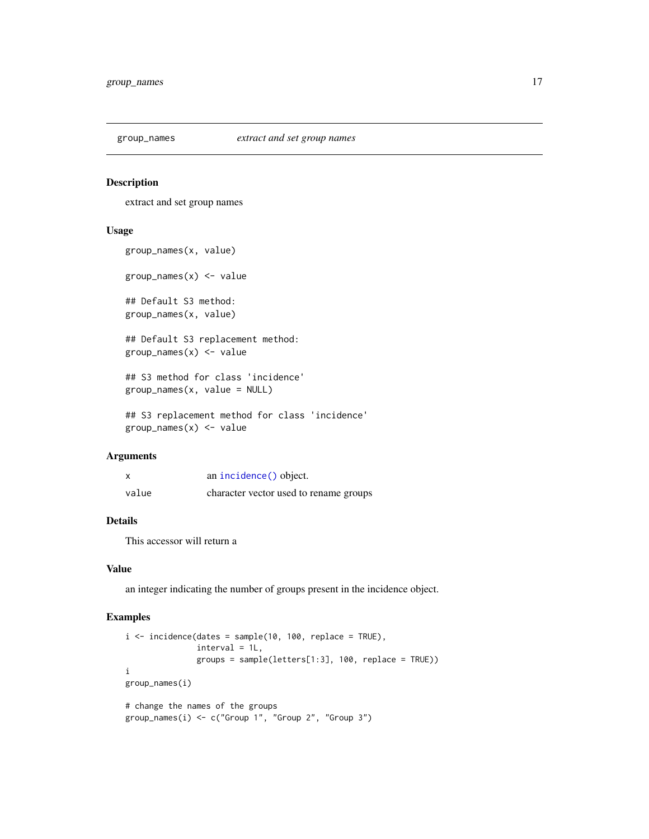<span id="page-16-1"></span><span id="page-16-0"></span>

#### Description

extract and set group names

#### Usage

```
group_names(x, value)
group_names(x) <- value
## Default S3 method:
group_names(x, value)
## Default S3 replacement method:
group\_names(x) <- value
## S3 method for class 'incidence'
group_names(x, value = NULL)
## S3 replacement method for class 'incidence'
```

```
group\_names(x) \leftarrow value
```
## Arguments

|       | an incidence () object.                |
|-------|----------------------------------------|
| value | character vector used to rename groups |

#### Details

This accessor will return a

#### Value

an integer indicating the number of groups present in the incidence object.

```
i \le incidence(dates = sample(10, 100, replace = TRUE),
              interval = 1L,
              groups = sample(letters[1:3], 100, replace = TRUE))
i
group_names(i)
# change the names of the groups
group_names(i) <- c("Group 1", "Group 2", "Group 3")
```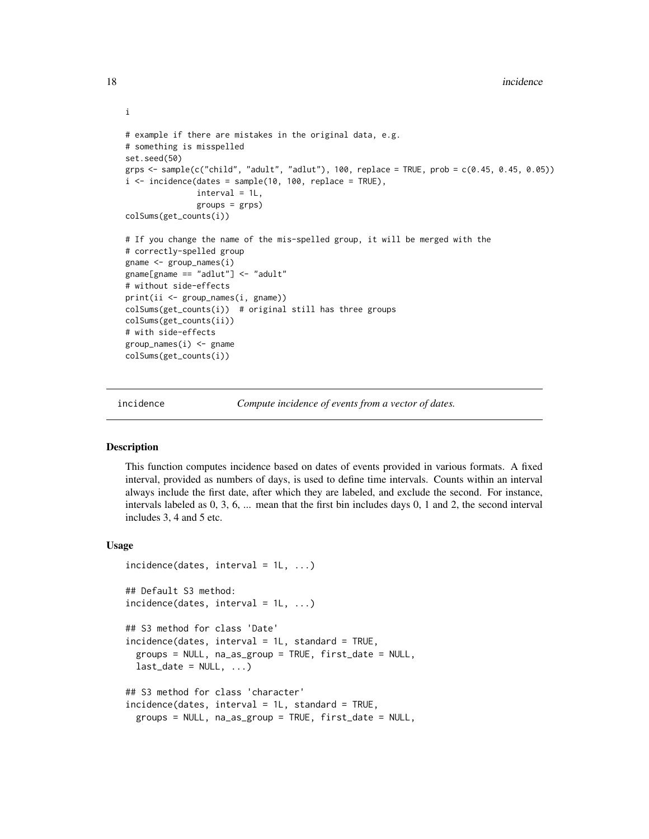```
# example if there are mistakes in the original data, e.g.
# something is misspelled
set.seed(50)
grps \le sample(c("child", "adult", "adlut"), 100, replace = TRUE, prob = c(0.45, 0.45, 0.05))
i \le incidence(dates = sample(10, 100, replace = TRUE),
               interval = 1L,
               groups = grps)
colSums(get_counts(i))
# If you change the name of the mis-spelled group, it will be merged with the
# correctly-spelled group
gname <- group_names(i)
gname[gname == "adlut"] <- "adult"
# without side-effects
print(ii <- group_names(i, gname))
colSums(get_counts(i)) # original still has three groups
colSums(get_counts(ii))
# with side-effects
group_names(i) <- gname
colSums(get_counts(i))
```
incidence *Compute incidence of events from a vector of dates.*

#### Description

This function computes incidence based on dates of events provided in various formats. A fixed interval, provided as numbers of days, is used to define time intervals. Counts within an interval always include the first date, after which they are labeled, and exclude the second. For instance, intervals labeled as 0, 3, 6, ... mean that the first bin includes days 0, 1 and 2, the second interval includes 3, 4 and 5 etc.

#### Usage

```
incidence(data, interval = 1L, ...)## Default S3 method:
incidence(dates, interval = 1L, ...)
## S3 method for class 'Date'
incidence(dates, interval = 1L, standard = TRUE,
 groups = NULL, na_as_group = TRUE, first_date = NULL,
 last_data = NULL, ...)## S3 method for class 'character'
incidence(dates, interval = 1L, standard = TRUE,
 groups = NULL, na_as_group = TRUE, first_date = NULL,
```
<span id="page-17-0"></span>i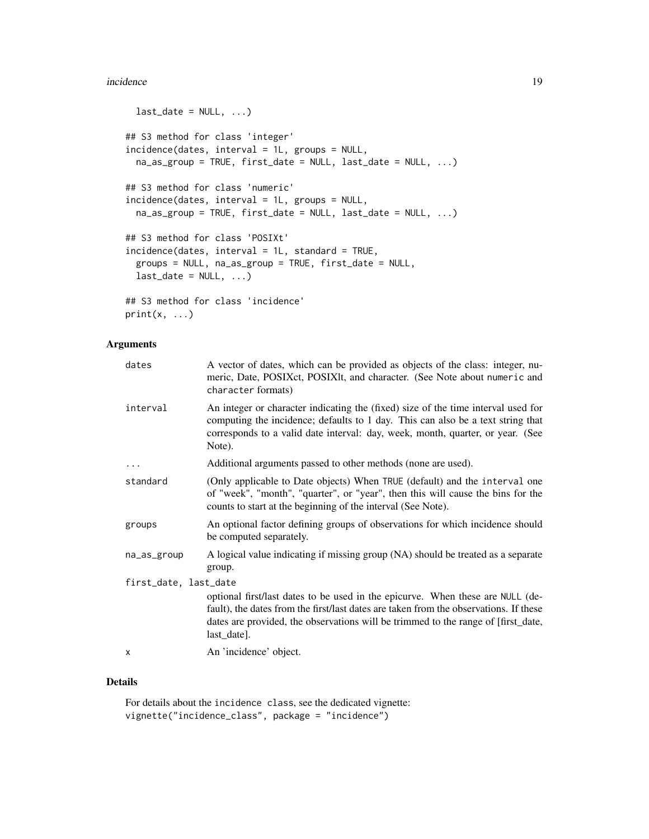#### incidence and the set of the set of the set of the set of the set of the set of the set of the set of the set of the set of the set of the set of the set of the set of the set of the set of the set of the set of the set of

```
last_data = NULL, ...)## S3 method for class 'integer'
incidence(dates, interval = 1L, groups = NULL,
 na_as_group = TRUE, first_date = NULL, last_date = NULL, ...)
## S3 method for class 'numeric'
incidence(dates, interval = 1L, groups = NULL,
 na_as_group = TRUE, first_date = NULL, last_date = NULL, ...)
## S3 method for class 'POSIXt'
incidence(dates, interval = 1L, standard = TRUE,
 groups = NULL, na_as_group = TRUE, first_date = NULL,
 last_data = NULL, ...)## S3 method for class 'incidence'
print(x, \ldots)
```
## Arguments

| dates                 | A vector of dates, which can be provided as objects of the class: integer, nu-<br>meric, Date, POSIXct, POSIXlt, and character. (See Note about numeric and<br>character formats)                                                                                           |
|-----------------------|-----------------------------------------------------------------------------------------------------------------------------------------------------------------------------------------------------------------------------------------------------------------------------|
| interval              | An integer or character indicating the (fixed) size of the time interval used for<br>computing the incidence; defaults to 1 day. This can also be a text string that<br>corresponds to a valid date interval: day, week, month, quarter, or year. (See<br>Note).            |
|                       | Additional arguments passed to other methods (none are used).                                                                                                                                                                                                               |
| standard              | (Only applicable to Date objects) When TRUE (default) and the interval one<br>of "week", "month", "quarter", or "year", then this will cause the bins for the<br>counts to start at the beginning of the interval (See Note).                                               |
| groups                | An optional factor defining groups of observations for which incidence should<br>be computed separately.                                                                                                                                                                    |
| na_as_group           | A logical value indicating if missing group (NA) should be treated as a separate<br>group.                                                                                                                                                                                  |
| first_date, last_date | optional first/last dates to be used in the epicurve. When these are NULL (de-<br>fault), the dates from the first/last dates are taken from the observations. If these<br>dates are provided, the observations will be trimmed to the range of [first_date,<br>last_date]. |
| X                     | An 'incidence' object.                                                                                                                                                                                                                                                      |

## Details

For details about the incidence class, see the dedicated vignette: vignette("incidence\_class", package = "incidence")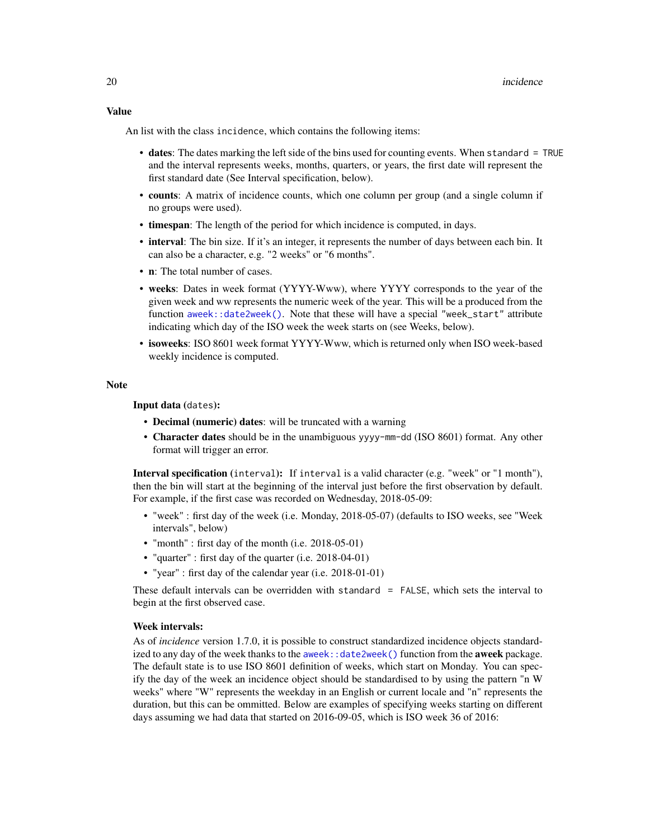#### <span id="page-19-0"></span>Value

An list with the class incidence, which contains the following items:

- dates: The dates marking the left side of the bins used for counting events. When standard = TRUE and the interval represents weeks, months, quarters, or years, the first date will represent the first standard date (See Interval specification, below).
- counts: A matrix of incidence counts, which one column per group (and a single column if no groups were used).
- timespan: The length of the period for which incidence is computed, in days.
- interval: The bin size. If it's an integer, it represents the number of days between each bin. It can also be a character, e.g. "2 weeks" or "6 months".
- **n**: The total number of cases.
- weeks: Dates in week format (YYYY-Www), where YYYY corresponds to the year of the given week and ww represents the numeric week of the year. This will be a produced from the function [aweek::date2week\(\)](#page-0-0). Note that these will have a special "week\_start" attribute indicating which day of the ISO week the week starts on (see Weeks, below).
- isoweeks: ISO 8601 week format YYYY-Www, which is returned only when ISO week-based weekly incidence is computed.

#### Note

Input data (dates):

- Decimal (numeric) dates: will be truncated with a warning
- Character dates should be in the unambiguous yyyy-mm-dd (ISO 8601) format. Any other format will trigger an error.

Interval specification (interval): If interval is a valid character (e.g. "week" or "1 month"), then the bin will start at the beginning of the interval just before the first observation by default. For example, if the first case was recorded on Wednesday, 2018-05-09:

- "week" : first day of the week (i.e. Monday, 2018-05-07) (defaults to ISO weeks, see "Week intervals", below)
- "month" : first day of the month (i.e. 2018-05-01)
- "quarter" : first day of the quarter (i.e. 2018-04-01)
- "year" : first day of the calendar year (i.e. 2018-01-01)

These default intervals can be overridden with standard = FALSE, which sets the interval to begin at the first observed case.

#### Week intervals:

As of *incidence* version 1.7.0, it is possible to construct standardized incidence objects standardized to any day of the week thanks to the aweek:  $:$  date2week() function from the **aweek** package. The default state is to use ISO 8601 definition of weeks, which start on Monday. You can specify the day of the week an incidence object should be standardised to by using the pattern "n W weeks" where "W" represents the weekday in an English or current locale and "n" represents the duration, but this can be ommitted. Below are examples of specifying weeks starting on different days assuming we had data that started on 2016-09-05, which is ISO week 36 of 2016: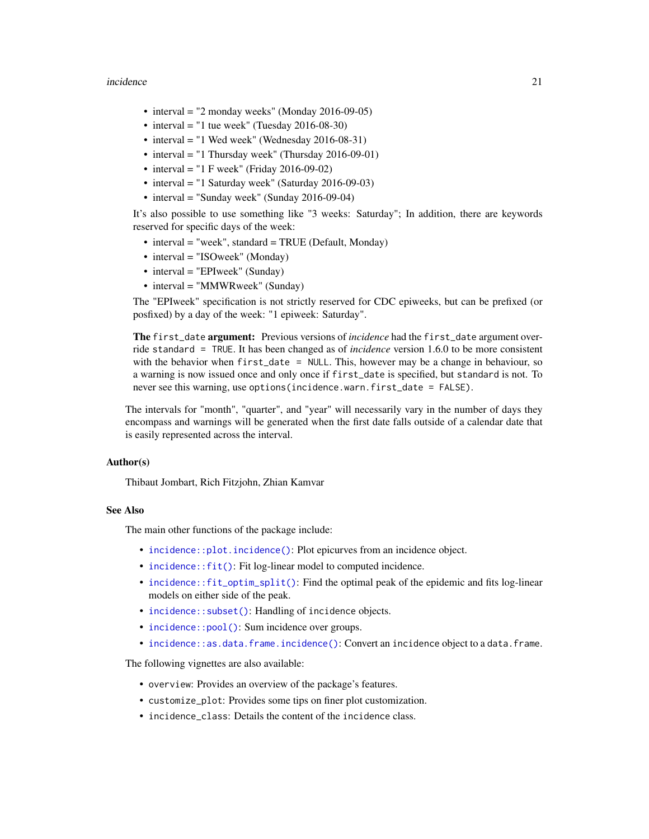#### <span id="page-20-0"></span>incidence 21

- interval = "2 monday weeks" (Monday 2016-09-05)
- interval = "1 tue week" (Tuesday  $2016-08-30$ )
- interval = "1 Wed week" (Wednesday 2016-08-31)
- interval = "1 Thursday week" (Thursday 2016-09-01)
- interval = "1 F week" (Friday 2016-09-02)
- interval = "1 Saturday week" (Saturday 2016-09-03)
- interval = "Sunday week" (Sunday 2016-09-04)

It's also possible to use something like "3 weeks: Saturday"; In addition, there are keywords reserved for specific days of the week:

- interval = "week", standard = TRUE (Default, Monday)
- interval = "ISOweek" (Monday)
- interval = "EPIweek" (Sunday)
- interval = "MMWRweek" (Sunday)

The "EPIweek" specification is not strictly reserved for CDC epiweeks, but can be prefixed (or posfixed) by a day of the week: "1 epiweek: Saturday".

The first\_date argument: Previous versions of *incidence* had the first\_date argument override standard = TRUE. It has been changed as of *incidence* version 1.6.0 to be more consistent with the behavior when first\_date = NULL. This, however may be a change in behaviour, so a warning is now issued once and only once if first\_date is specified, but standard is not. To never see this warning, use options(incidence.warn.first\_date = FALSE).

The intervals for "month", "quarter", and "year" will necessarily vary in the number of days they encompass and warnings will be generated when the first date falls outside of a calendar date that is easily represented across the interval.

### Author(s)

Thibaut Jombart, Rich Fitzjohn, Zhian Kamvar

#### See Also

The main other functions of the package include:

- [incidence::plot.incidence\(\)](#page-0-0): Plot epicurves from an incidence object.
- [incidence::fit\(\)](#page-0-0): Fit log-linear model to computed incidence.
- [incidence::fit\\_optim\\_split\(\)](#page-0-0): Find the optimal peak of the epidemic and fits log-linear models on either side of the peak.
- incidence:: subset(): Handling of incidence objects.
- incidence:: pool(): Sum incidence over groups.
- [incidence::as.data.frame.incidence\(\)](#page-0-0): Convert an incidence object to a data.frame.

The following vignettes are also available:

- overview: Provides an overview of the package's features.
- customize\_plot: Provides some tips on finer plot customization.
- incidence class: Details the content of the incidence class.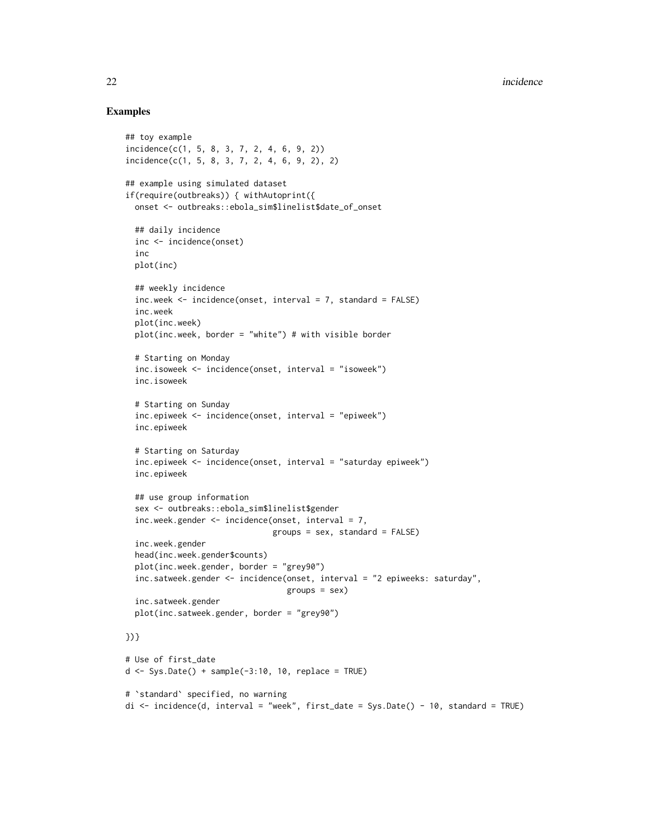```
## toy example
incidence(c(1, 5, 8, 3, 7, 2, 4, 6, 9, 2))
incidence(c(1, 5, 8, 3, 7, 2, 4, 6, 9, 2), 2)
## example using simulated dataset
if(require(outbreaks)) { withAutoprint({
 onset <- outbreaks::ebola_sim$linelist$date_of_onset
 ## daily incidence
 inc <- incidence(onset)
 inc
 plot(inc)
 ## weekly incidence
 inc.week <- incidence(onset, interval = 7, standard = FALSE)
 inc.week
 plot(inc.week)
 plot(inc.week, border = "white") # with visible border
 # Starting on Monday
 inc.isoweek <- incidence(onset, interval = "isoweek")
 inc.isoweek
 # Starting on Sunday
 inc.epiweek <- incidence(onset, interval = "epiweek")
 inc.epiweek
 # Starting on Saturday
 inc.epiweek <- incidence(onset, interval = "saturday epiweek")
 inc.epiweek
 ## use group information
 sex <- outbreaks::ebola_sim$linelist$gender
 inc.week.gender <- incidence(onset, interval = 7,
                               groups = sex, standard = FALSE)
 inc.week.gender
 head(inc.week.gender$counts)
 plot(inc.week.gender, border = "grey90")
 inc.satweek.gender <- incidence(onset, interval = "2 epiweeks: saturday",
                                  groups = sex)
 inc.satweek.gender
 plot(inc.satweek.gender, border = "grey90")
})}
# Use of first_date
d \leq Sys.Date() + sample(-3:10, 10, replace = TRUE)
# `standard` specified, no warning
di <- incidence(d, interval = "week", first_date = Sys.Date() - 10, standard = TRUE)
```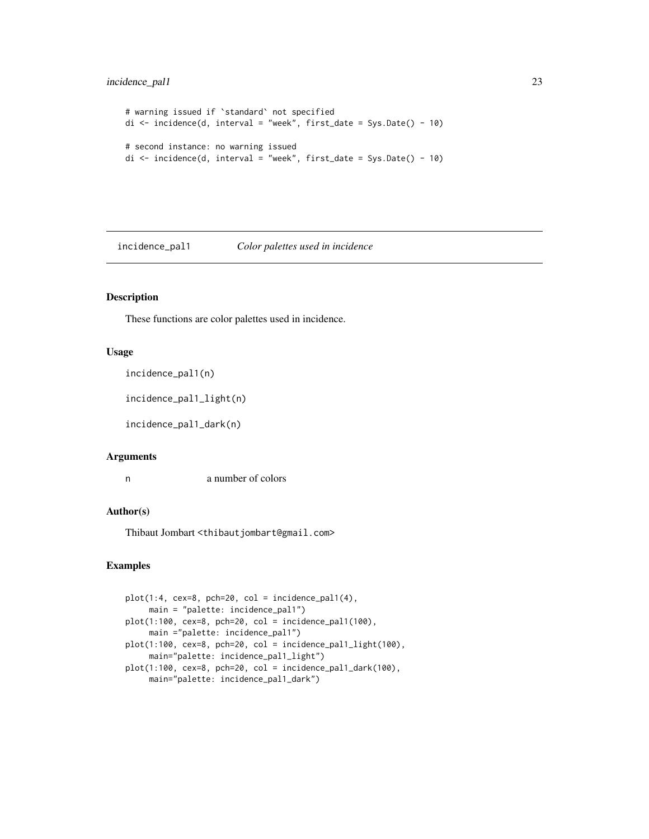## <span id="page-22-0"></span>incidence\_pal1 23

```
# warning issued if `standard` not specified
di \le incidence(d, interval = "week", first_date = Sys.Date() - 10)
# second instance: no warning issued
di \le incidence(d, interval = "week", first_date = Sys.Date() - 10)
```
<span id="page-22-1"></span>incidence\_pal1 *Color palettes used in incidence*

## Description

These functions are color palettes used in incidence.

#### Usage

incidence\_pal1(n)

incidence\_pal1\_light(n)

incidence\_pal1\_dark(n)

#### Arguments

n a number of colors

#### Author(s)

Thibaut Jombart <thibautjombart@gmail.com>

```
plot(1:4, cex=8, pch=20, col = incidence\_pal(4),main = "palette: incidence_pal1")
plot(1:100, cex=8, pch=20, col = incidence_pal1(100),
    main ="palette: incidence_pal1")
plot(1:100, cex=8, pch=20, col = incidence_pal1_light(100),
    main="palette: incidence_pal1_light")
plot(1:100, cex=8, pch=20, col = incidence_pal1_dark(100),
    main="palette: incidence_pal1_dark")
```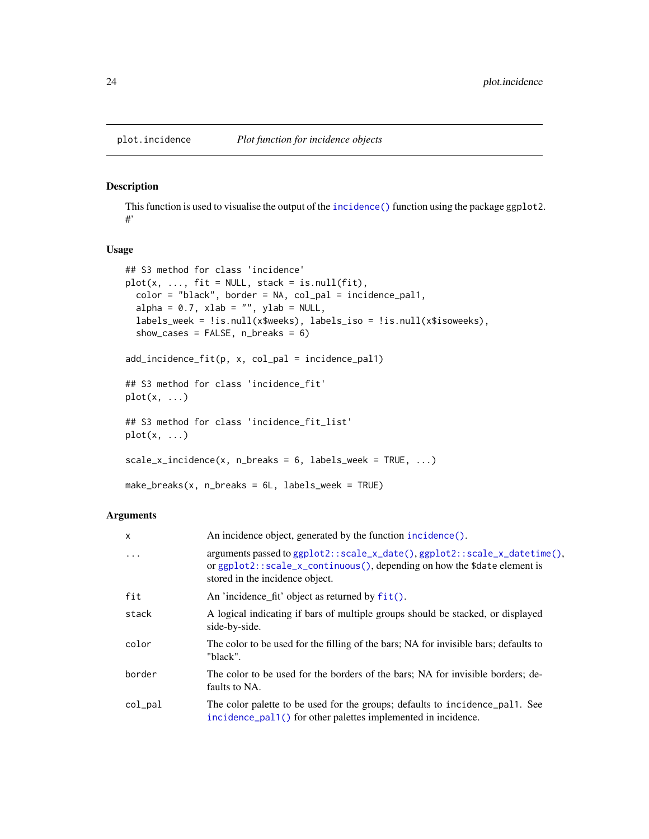#### <span id="page-23-0"></span>Description

This function is used to visualise the output of the [incidence\(\)](#page-17-1) function using the package ggplot2. #'

#### Usage

```
## S3 method for class 'incidence'
plot(x, ..., fit = NULL, stack = isnull(fit),color = "black", border = NA, col_pal = incidence_pal1,
  alpha = 0.7, xlab = '''', ylab = NULL,
  labels_week = !is.null(x$weeks), labels_iso = !is.null(x$isoweeks),
  show_cases = FALSE, n_breaks = 6)add_incidence_fit(p, x, col_pal = incidence_pal1)
## S3 method for class 'incidence_fit'
plot(x, \ldots)## S3 method for class 'incidence_fit_list'
plot(x, \ldots)scale_x_incidence(x, n_breaks = 6, labels_week = TRUE, ...)make_breaks(x, n_breaks = 6L, labels_week = TRUE)
```
#### Arguments

| X          | An incidence object, generated by the function incidence().                                                                                                                                     |
|------------|-------------------------------------------------------------------------------------------------------------------------------------------------------------------------------------------------|
| $\ddots$ . | arguments passed to ggplot2::scale_x_date(), ggplot2::scale_x_datetime(),<br>or $ggplot2$ : $scale_x_{continuous$ (), depending on how the \$date element is<br>stored in the incidence object. |
| fit        | An 'incidence fit' object as returned by $fit()$ .                                                                                                                                              |
| stack      | A logical indicating if bars of multiple groups should be stacked, or displayed<br>side-by-side.                                                                                                |
| color      | The color to be used for the filling of the bars; NA for invisible bars; defaults to<br>"black".                                                                                                |
| border     | The color to be used for the borders of the bars; NA for invisible borders; de-<br>faults to NA.                                                                                                |
| col_pal    | The color palette to be used for the groups; defaults to incidence pall. See<br>incidence_pal1() for other palettes implemented in incidence.                                                   |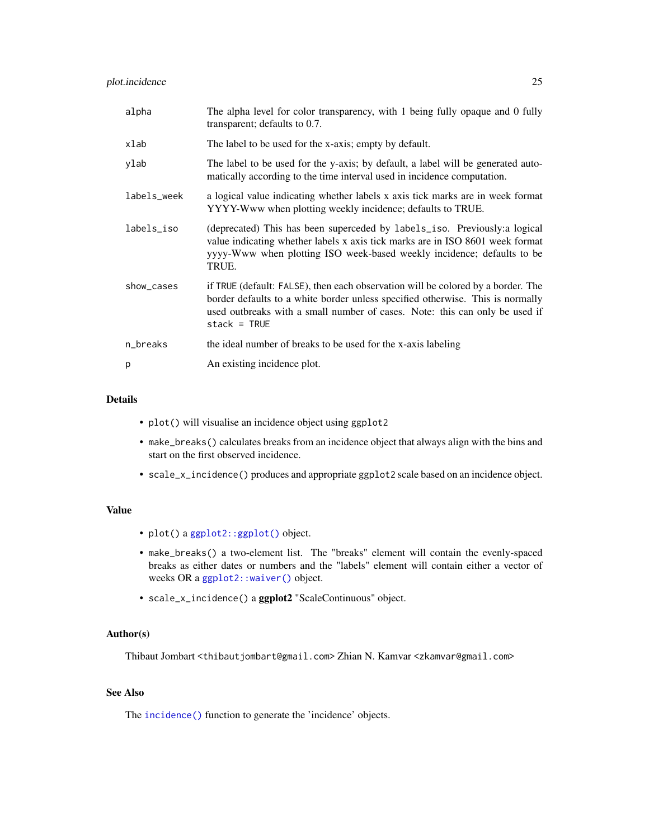#### <span id="page-24-0"></span>plot.incidence 25

| alpha       | The alpha level for color transparency, with 1 being fully opaque and 0 fully<br>transparent; defaults to 0.7.                                                                                                                                                      |
|-------------|---------------------------------------------------------------------------------------------------------------------------------------------------------------------------------------------------------------------------------------------------------------------|
| xlab        | The label to be used for the x-axis; empty by default.                                                                                                                                                                                                              |
| ylab        | The label to be used for the y-axis; by default, a label will be generated auto-<br>matically according to the time interval used in incidence computation.                                                                                                         |
| labels_week | a logical value indicating whether labels x axis tick marks are in week format<br>YYYY-Www when plotting weekly incidence; defaults to TRUE.                                                                                                                        |
| labels_iso  | (deprecated) This has been superceded by labels_iso. Previously: a logical<br>value indicating whether labels x axis tick marks are in ISO 8601 week format<br>yyyy-Www when plotting ISO week-based weekly incidence; defaults to be<br>TRUE.                      |
| show_cases  | if TRUE (default: FALSE), then each observation will be colored by a border. The<br>border defaults to a white border unless specified otherwise. This is normally<br>used outbreaks with a small number of cases. Note: this can only be used if<br>$stack = TRUE$ |
| n_breaks    | the ideal number of breaks to be used for the x-axis labeling                                                                                                                                                                                                       |
| p           | An existing incidence plot.                                                                                                                                                                                                                                         |

## Details

- plot() will visualise an incidence object using ggplot2
- make\_breaks() calculates breaks from an incidence object that always align with the bins and start on the first observed incidence.
- scale\_x\_incidence() produces and appropriate ggplot2 scale based on an incidence object.

## Value

- plot() a [ggplot2::ggplot\(\)](#page-0-0) object.
- make\_breaks() a two-element list. The "breaks" element will contain the evenly-spaced breaks as either dates or numbers and the "labels" element will contain either a vector of weeks OR a [ggplot2::waiver\(\)](#page-0-0) object.
- scale\_x\_incidence() a ggplot2 "ScaleContinuous" object.

## Author(s)

Thibaut Jombart <thibautjombart@gmail.com> Zhian N. Kamvar <zkamvar@gmail.com>

## See Also

The [incidence\(\)](#page-17-1) function to generate the 'incidence' objects.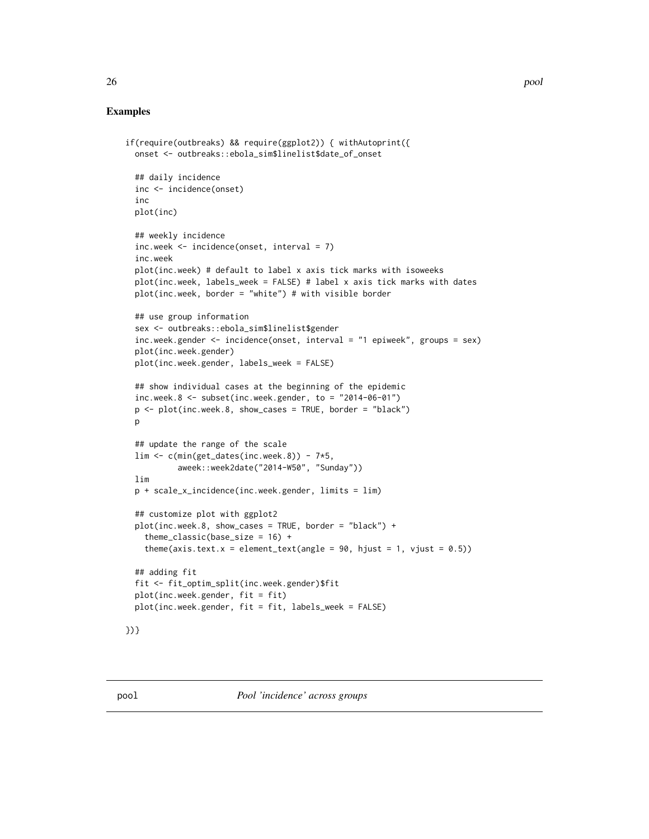```
if(require(outbreaks) && require(ggplot2)) { withAutoprint({
 onset <- outbreaks::ebola_sim$linelist$date_of_onset
 ## daily incidence
 inc <- incidence(onset)
 inc
 plot(inc)
 ## weekly incidence
 inc.week <- incidence(onset, interval = 7)
 inc.week
 plot(inc.week) # default to label x axis tick marks with isoweeks
 plot(inc.week, labels_week = FALSE) # label x axis tick marks with dates
 plot(inc.week, border = "white") # with visible border## use group information
 sex <- outbreaks::ebola_sim$linelist$gender
 inc.week.gender <- incidence(onset, interval = "1 epiweek", groups = sex)
 plot(inc.week.gender)
 plot(inc.week.gender, labels_week = FALSE)
 ## show individual cases at the beginning of the epidemic
 inc.week.8 <- subset(inc.week.gender, to = "2014-06-01")
 p \leq plot(inc.week.8, show\_cases = TRUE, border = "black")p
 ## update the range of the scale
 \lim <- c(min(get_dates(inc.week.8)) - 7*5,
           aweek::week2date("2014-W50", "Sunday"))
 lim
 p + scale_x_incidence(inc.week.gender, limits = lim)
 ## customize plot with ggplot2
 plot(inc.week.8, show\_cases = TRUE, border = "black") +theme_classic(base_size = 16) +
    theme(axis.text.x = element_text(angle = 90, hjust = 1, vjust = 0.5))
 ## adding fit
 fit <- fit_optim_split(inc.week.gender)$fit
 plot(inc.week.gender, fit = fit)
 plot(inc.week.gender, fit = fit, labels_week = FALSE)
})}
```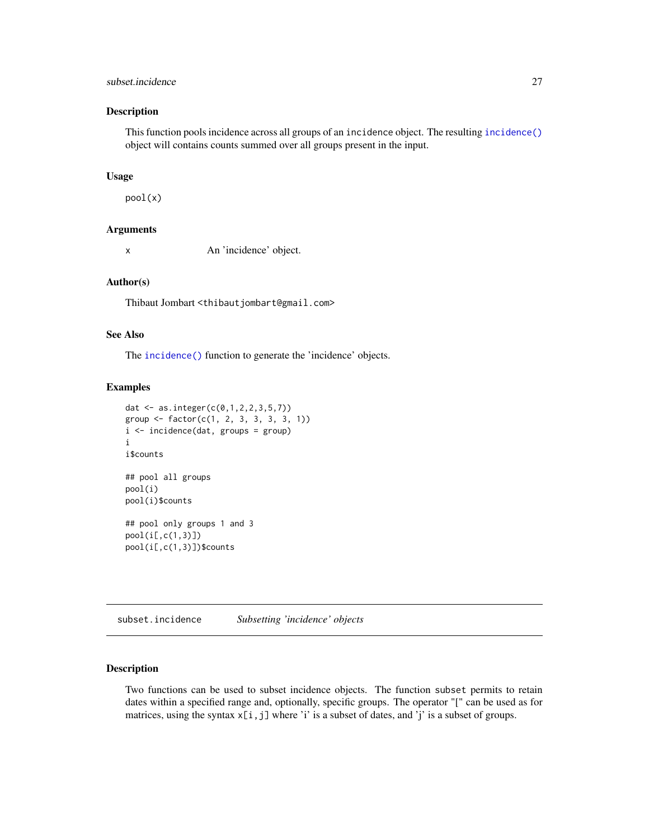## <span id="page-26-0"></span>subset.incidence 27

#### Description

This function pools incidence across all groups of an incidence object. The resulting [incidence\(\)](#page-17-1) object will contains counts summed over all groups present in the input.

#### Usage

pool(x)

#### Arguments

x An 'incidence' object.

#### Author(s)

Thibaut Jombart <thibautjombart@gmail.com>

## See Also

The [incidence\(\)](#page-17-1) function to generate the 'incidence' objects.

#### Examples

```
dat <- as.integer(c(0,1,2,2,3,5,7))
group \leq factor(c(1, 2, 3, 3, 3, 3, 1))
i <- incidence(dat, groups = group)
i
i$counts
## pool all groups
pool(i)
pool(i)$counts
## pool only groups 1 and 3
pool(i[,c(1,3)])
pool(i[,c(1,3)])$counts
```
subset.incidence *Subsetting 'incidence' objects*

#### Description

Two functions can be used to subset incidence objects. The function subset permits to retain dates within a specified range and, optionally, specific groups. The operator "[" can be used as for matrices, using the syntax  $x[i, j]$  where 'i' is a subset of dates, and 'j' is a subset of groups.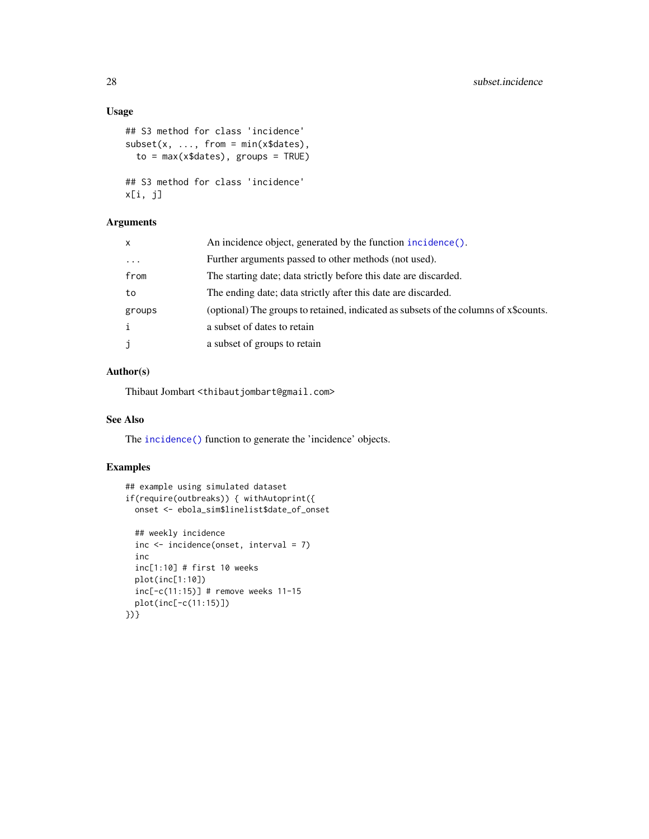## <span id="page-27-0"></span>Usage

```
## S3 method for class 'incidence'
subset(x, ..., from = min(x$dates)),to = max(x$dates), groups = TRUE)## S3 method for class 'incidence'
x[i, j]
```
## Arguments

| x        | An incidence object, generated by the function incidence().                          |
|----------|--------------------------------------------------------------------------------------|
| $\ddots$ | Further arguments passed to other methods (not used).                                |
| from     | The starting date; data strictly before this date are discarded.                     |
| to       | The ending date; data strictly after this date are discarded.                        |
| groups   | (optional) The groups to retained, indicated as subsets of the columns of x\$counts. |
| i        | a subset of dates to retain                                                          |
| j        | a subset of groups to retain                                                         |

## Author(s)

Thibaut Jombart <thibautjombart@gmail.com>

## See Also

The [incidence\(\)](#page-17-1) function to generate the 'incidence' objects.

```
## example using simulated dataset
if(require(outbreaks)) { withAutoprint({
 onset <- ebola_sim$linelist$date_of_onset
  ## weekly incidence
  inc <- incidence(onset, interval = 7)
  inc
  inc[1:10] # first 10 weeks
  plot(inc[1:10])
  inc[-c(11:15)] # remove weeks 11-15
  plot(inc[-c(11:15)])
})}
```